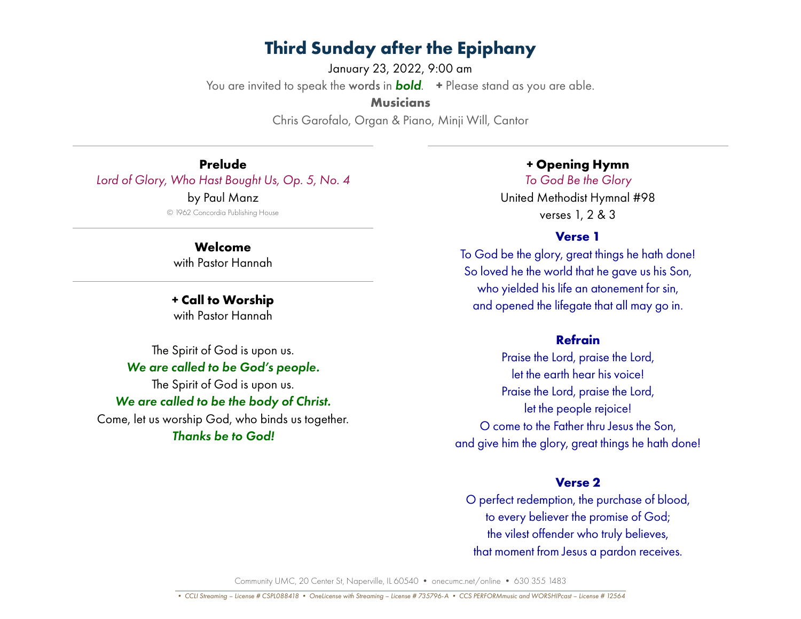January 23, 2022, 9:00 am You are invited to speak the words in *bold*. **+** Please stand as you are able. **Musicians** Chris Garofalo, Organ & Piano, Minji Will, Cantor

**Prelude** *Lord of Glory, Who Hast Bought Us, Op. 5, No. 4* by Paul Manz © 1962 Concordia Publishing House

> **Welcome** with Pastor Hannah

**+ Call to Worship** with Pastor Hannah

The Spirit of God is upon us. *We are called to be God's people.* The Spirit of God is upon us. *We are called to be the body of Christ.* Come, let us worship God, who binds us together. *Thanks be to God!*

**+ Opening Hymn**

*To God Be the Glory* United Methodist Hymnal #98 verses 1, 2 & 3

#### **Verse 1**

To God be the glory, great things he hath done! So loved he the world that he gave us his Son, who yielded his life an atonement for sin, and opened the lifegate that all may go in.

### **Refrain**

Praise the Lord, praise the Lord, let the earth hear his voice! Praise the Lord, praise the Lord, let the people rejoice! O come to the Father thru Jesus the Son, and give him the glory, great things he hath done!

### **Verse 2**

O perfect redemption, the purchase of blood, to every believer the promise of God; the vilest offender who truly believes, that moment from Jesus a pardon receives.

Community UMC, 20 Center St, Naperville, IL 60540 • onecumc.net/online • 630 355 1483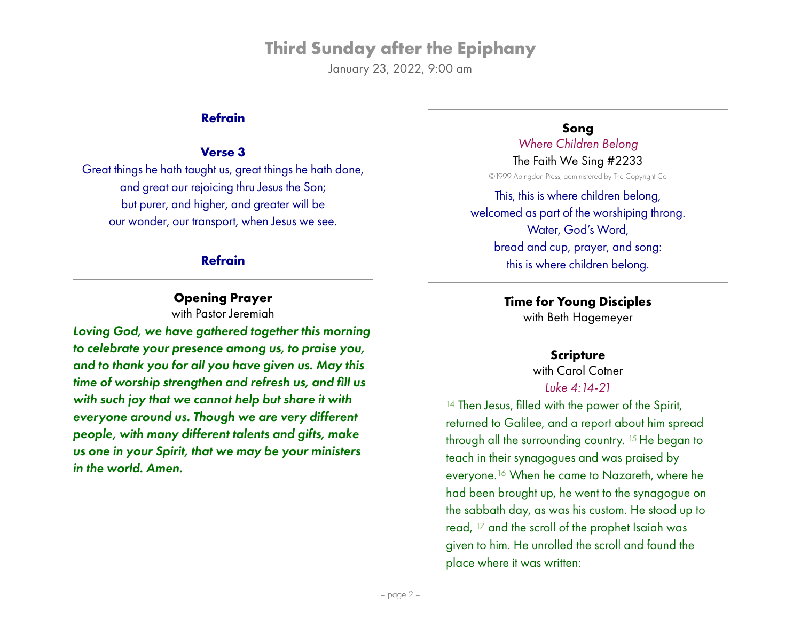January 23, 2022, 9:00 am

#### **Refrain**

#### **Verse 3**

Great things he hath taught us, great things he hath done, and great our rejoicing thru Jesus the Son; but purer, and higher, and greater will be our wonder, our transport, when Jesus we see.

### **Refrain**

## **Opening Prayer**

with Pastor Jeremiah

*Loving God, we have gathered together this morning to celebrate your presence among us, to praise you, and to thank you for all you have given us. May this time of worship strengthen and refresh us, and fill us with such joy that we cannot help but share it with everyone around us. Though we are very different people, with many different talents and gifts, make us one in your Spirit, that we may be your ministers in the world. Amen.*

**Song** *Where Children Belong*

The Faith We Sing #2233 ©1999 Abingdon Press, administered by The Copyright Co

This, this is where children belong, welcomed as part of the worshiping throng. Water, God's Word, bread and cup, prayer, and song: this is where children belong.

> **Time for Young Disciples** with Beth Hagemeyer

## **Scripture**

with Carol Cotner *Luke 4:14-21*

<sup>14</sup> Then Jesus, filled with the power of the Spirit, returned to Galilee, and a report about him spread through all the surrounding country. 15 He began to teach in their synagogues and was praised by everyone.16 When he came to Nazareth, where he had been brought up, he went to the synagogue on the sabbath day, as was his custom. He stood up to read, 17 and the scroll of the prophet Isaiah was given to him. He unrolled the scroll and found the place where it was written: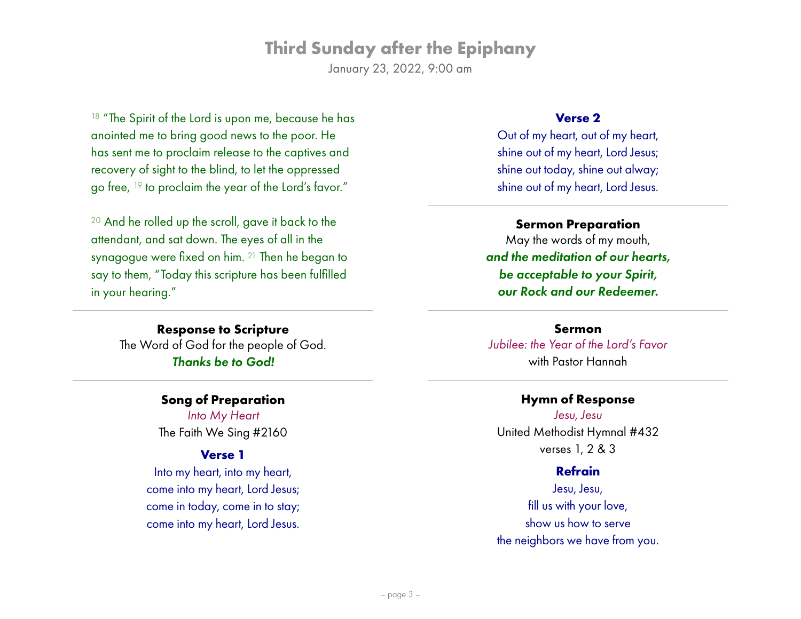January 23, 2022, 9:00 am

<sup>18</sup> "The Spirit of the Lord is upon me, because he has anointed me to bring good news to the poor. He has sent me to proclaim release to the captives and recovery of sight to the blind, to let the oppressed go free, <sup>19</sup> to proclaim the year of the Lord's favor."

<sup>20</sup> And he rolled up the scroll, gave it back to the attendant, and sat down. The eyes of all in the synagogue were fixed on him. 21 Then he began to say to them, "Today this scripture has been fulfilled in your hearing."

> **Response to Scripture** The Word of God for the people of God. *Thanks be to God!*

#### **Song of Preparation**

*Into My Heart* The Faith We Sing #2160

## **Verse 1**

Into my heart, into my heart, come into my heart, Lord Jesus; come in today, come in to stay; come into my heart, Lord Jesus.

#### **Verse 2**

Out of my heart, out of my heart, shine out of my heart, Lord Jesus; shine out today, shine out alway; shine out of my heart, Lord Jesus.

#### **Sermon Preparation**

May the words of my mouth, *and the meditation of our hearts, be acceptable to your Spirit, our Rock and our Redeemer.*

**Sermon** *Jubilee: the Year of the Lord's Favor* with Pastor Hannah

#### **Hymn of Response**

*Jesu, Jesu* United Methodist Hymnal #432 verses 1, 2 & 3

#### **Refrain**

Jesu, Jesu, fill us with your love, show us how to serve the neighbors we have from you.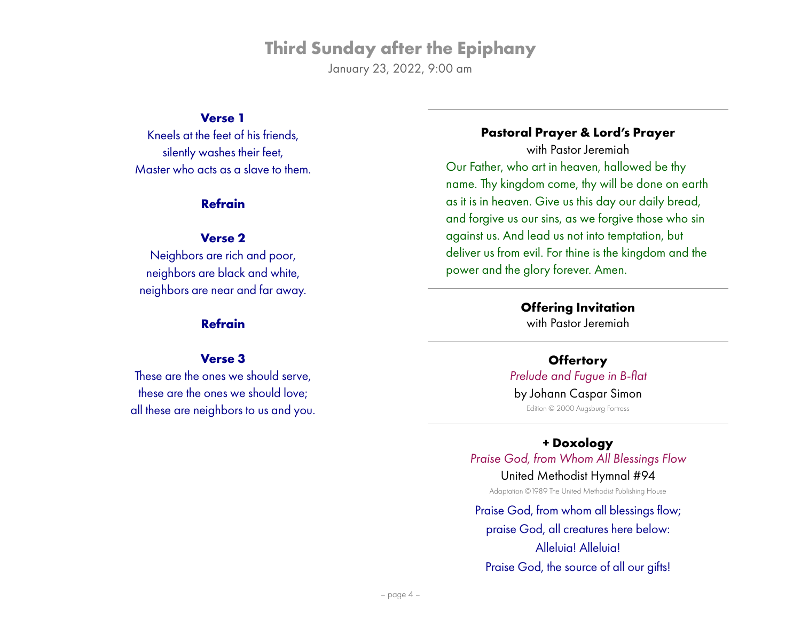January 23, 2022, 9:00 am

#### **Verse 1**

Kneels at the feet of his friends, silently washes their feet, Master who acts as a slave to them.

#### **Refrain**

#### **Verse 2**

Neighbors are rich and poor, neighbors are black and white, neighbors are near and far away.

#### **Refrain**

#### **Verse 3**

These are the ones we should serve, these are the ones we should love; all these are neighbors to us and you.

## **Pastoral Prayer & Lord's Prayer**

with Pastor Jeremiah Our Father, who art in heaven, hallowed be thy name. Thy kingdom come, thy will be done on earth as it is in heaven. Give us this day our daily bread, and forgive us our sins, as we forgive those who sin against us. And lead us not into temptation, but deliver us from evil. For thine is the kingdom and the power and the glory forever. Amen.

> **Offering Invitation** with Pastor Jeremiah

**Offertory** *Prelude and Fugue in B-flat* by Johann Caspar Simon Edition © 2000 Augsburg Fortress

**+ Doxology** *Praise God, from Whom All Blessings Flow* United Methodist Hymnal #94 Adaptation ©1989 The United Methodist Publishing House

Praise God, from whom all blessings flow; praise God, all creatures here below: Alleluia! Alleluia! Praise God, the source of all our gifts!